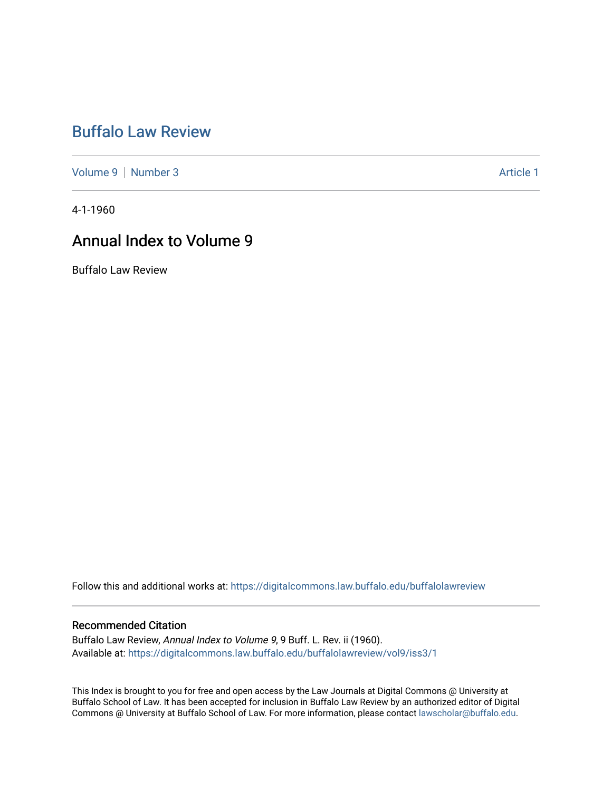# [Buffalo Law Review](https://digitalcommons.law.buffalo.edu/buffalolawreview)

[Volume 9](https://digitalcommons.law.buffalo.edu/buffalolawreview/vol9) | [Number 3](https://digitalcommons.law.buffalo.edu/buffalolawreview/vol9/iss3) Article 1

4-1-1960

# Annual Index to Volume 9

Buffalo Law Review

Follow this and additional works at: [https://digitalcommons.law.buffalo.edu/buffalolawreview](https://digitalcommons.law.buffalo.edu/buffalolawreview?utm_source=digitalcommons.law.buffalo.edu%2Fbuffalolawreview%2Fvol9%2Fiss3%2F1&utm_medium=PDF&utm_campaign=PDFCoverPages) 

### Recommended Citation

Buffalo Law Review, Annual Index to Volume 9, 9 Buff. L. Rev. ii (1960). Available at: [https://digitalcommons.law.buffalo.edu/buffalolawreview/vol9/iss3/1](https://digitalcommons.law.buffalo.edu/buffalolawreview/vol9/iss3/1?utm_source=digitalcommons.law.buffalo.edu%2Fbuffalolawreview%2Fvol9%2Fiss3%2F1&utm_medium=PDF&utm_campaign=PDFCoverPages) 

This Index is brought to you for free and open access by the Law Journals at Digital Commons @ University at Buffalo School of Law. It has been accepted for inclusion in Buffalo Law Review by an authorized editor of Digital Commons @ University at Buffalo School of Law. For more information, please contact [lawscholar@buffalo.edu](mailto:lawscholar@buffalo.edu).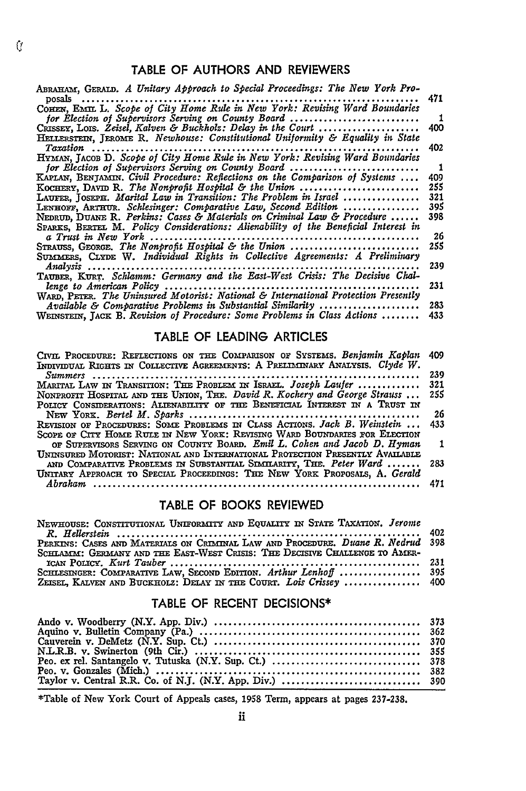### TABLE OF **AUTHORS AND** REVIEWERS

| ABRAHAM, GERALD. A Unitary Approach to Special Proceedings: The New York Pro-                     |     |
|---------------------------------------------------------------------------------------------------|-----|
| $posals \ldots$                                                                                   | 471 |
| COHEN, EMIL L. Scope of City Home Rule in New York: Revising Ward Boundaries                      |     |
| for Election of Supervisors Serving on County Board                                               | -1  |
| CRISSEY, LOIS. Zeisel, Kalven & Buckholz: Delay in the Court $\ldots \ldots \ldots \ldots \ldots$ | 400 |
| HELLERSTEIN, JEROME R. Newhouse: Constitutional Uniformity & Equality in State                    |     |
| Taxation<br>. <b>.</b>                                                                            | 402 |
| HYMAN, JACOB D. Scope of City Home Rule in New York: Revising Ward Boundaries                     |     |
| for Election of Supervisors Serving on County Board                                               | -1  |
| KAPLAN, BENJAMIN. Civil Procedure: Reflections on the Comparison of Systems                       | 409 |
| KOCHERY, DAVID R. The Nonprofit Hospital & the Union                                              | 255 |
| LAUFER, JOSEPH. Marital Law in Transition: The Problem in Israel                                  | 321 |
| LENHOFF, ARTHUR. Schlesinger: Comparative Law, Second Edition                                     | 395 |
| Neprop, Duane R. Perkins: Cases & Materials on Criminal Law & Procedure                           | 398 |
| SPARKS, BERTEL M. Policy Considerations: Alienability of the Beneficial Interest in               |     |
|                                                                                                   | 26  |
| STRAUSS, GEORGE. The Nonprofit Hospital & the Union                                               | 255 |
| SUMMERS, CLYDE W. Individual Rights in Collective Agreements: A Preliminary                       |     |
| $Analysis$                                                                                        | 239 |
| TAUBER, KURT. Schlamm: Germany and the East-West Crisis: The Decisive Chal-                       |     |
| lenge to American Policy                                                                          | 231 |
| WARD, PETER. The Uninsured Motorist: National & International Protection Presently                |     |
| Available & Comparative Problems in Substantial Similarity                                        | 283 |
| WEINSTEIN, JACK B. Revision of Procedure: Some Problems in Class Actions                          | 433 |

### TABLE OF **LEADING** ARTICLES

| CIVIL PROCEDURE: REFLECTIONS ON THE COMPARISON OF SYSTEMS. Benjamin Kaplan    | 409 |
|-------------------------------------------------------------------------------|-----|
| INDIVIDUAL RIGHTS IN COLLECTIVE AGREEMENTS: A PRELIMINARY ANALYSIS. Clyde W.  |     |
|                                                                               | 239 |
| MARITAL LAW IN TRANSITION: THE PROBLEM IN ISRAEL. Joseph Laufer               | 321 |
| NONPROFIT HOSPITAL AND THE UNION, THE. David R. Kochery and George Strauss    | 255 |
| POLICY CONSIDERATIONS: ALIENABILITY OF THE BENEFICIAL INTEREST IN A TRUST IN  |     |
|                                                                               | 26  |
| REVISION OF PROCEDURES: SOME PROBLEMS IN CLASS ACTIONS. Jack B. Weinstein     | 433 |
| SCOPE OF CITY HOME RULE IN NEW YORK: REVISING WARD BOUNDARIES FOR ELECTION    |     |
| OF SUPERVISORS SERVING ON COUNTY BOARD. Emil L. Cohen and Jacob D. Hyman      |     |
| UNINSURED MOTORIST: NATIONAL AND INTERNATIONAL PROTECTION PRESENTLY AVAILABLE |     |
| AND COMPARATIVE PROBLEMS IN SUBSTANTIAL SIMILARITY, THE. Peter Ward           | 283 |
| UNITARY APPROACH TO SPECIAL PROCEEDINGS: THE NEW YORK PROPOSALS, A. Gerald    |     |
| $\Delta b$ raham                                                              | 471 |
|                                                                               |     |

### TABLE OF BOOKS REVIEWED

| NEWHOUSE: CONSTITUTIONAL UNIFORMITY AND EQUALITY IN STATE TAXATION. Jerome      |  |
|---------------------------------------------------------------------------------|--|
| PERKINS: CASES AND MATERIALS ON CRIMINAL LAW AND PROCEDURE. Duane R. Nedrud 398 |  |
| SCHLAMM: GERMANY AND THE EAST-WEST CRISIS: THE DECISIVE CHALLENGE TO AMER-      |  |
|                                                                                 |  |
| SCHLESINGER: COMPARATIVE LAW, SECOND EDITION. Arthur Lenhoff  395               |  |
| ZEISEL, KALVEN AND BUCKHOLZ: DELAY IN THE COURT. Lois Crissey  400              |  |

### TABLE OF **RECENT DECISIONS\***

\*Table of New York Court of Appeals cases, 1958 Term, appears at pages **237-238.**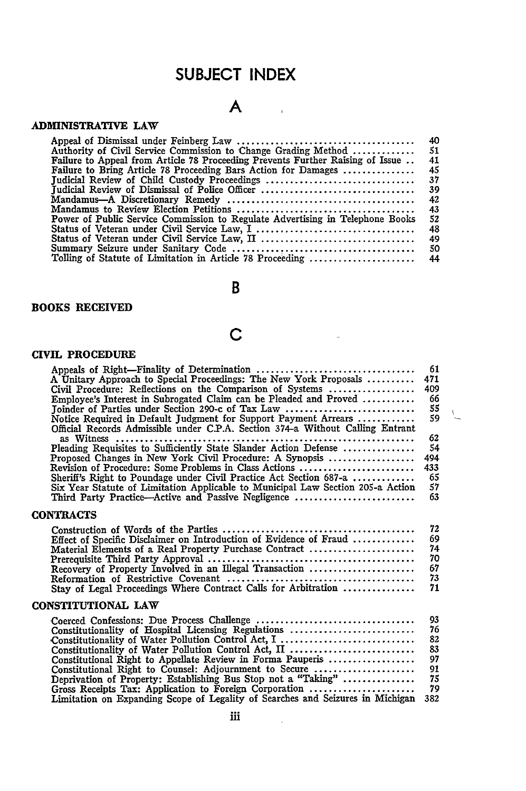## **SUBJECT INDEX**

## **A**

### ADMINISTRATIVE LAW

|                                                                                | 40  |
|--------------------------------------------------------------------------------|-----|
| Authority of Civil Service Commission to Change Grading Method                 | 51  |
| Failure to Appeal from Article 78 Proceeding Prevents Further Raising of Issue | 41  |
| Failure to Bring Article 78 Proceeding Bars Action for Damages                 | 45  |
| Judicial Review of Child Custody Proceedings                                   | 37  |
| Iudicial Review of Dismissal of Police Officer                                 | 39  |
|                                                                                | 42  |
|                                                                                | 43  |
| Power of Public Service Commission to Regulate Advertising in Telephone Books  | 52  |
|                                                                                | 48  |
|                                                                                | 49  |
|                                                                                | -50 |
|                                                                                |     |

## B

### BOOKS RECEIVED

## **C**

÷,

### CIVIL PROCEDURE

| A Unitary Approach to Special Proceedings: The New York Proposals<br>Civil Procedure: Reflections on the Comparison of Systems<br>Employee's Interest in Subrogated Claim can be Pleaded and Proved<br>Joinder of Parties under Section 290-c of Tax Law<br>Notice Required in Default Judgment for Support Payment Arrears<br>Official Records Admissible under C.P.A. Section 374-a Without Calling Entrant<br>Pleading Requisites to Sufficiently State Slander Action Defense<br>Proposed Changes in New York Civil Procedure: A Synopsis<br>Revision of Procedure: Some Problems in Class Actions<br>Sheriff's Right to Poundage under Civil Practice Act Section 687-a<br>Six Year Statute of Limitation Applicable to Municipal Law Section 205-a Action<br>Third Party Practice—Active and Passive Negligence | 61<br>471<br>409<br>66<br>55<br>59<br>62<br>54<br>494<br>433<br>65<br>57<br>63 |  |
|-----------------------------------------------------------------------------------------------------------------------------------------------------------------------------------------------------------------------------------------------------------------------------------------------------------------------------------------------------------------------------------------------------------------------------------------------------------------------------------------------------------------------------------------------------------------------------------------------------------------------------------------------------------------------------------------------------------------------------------------------------------------------------------------------------------------------|--------------------------------------------------------------------------------|--|
| <b>CONTRACTS</b>                                                                                                                                                                                                                                                                                                                                                                                                                                                                                                                                                                                                                                                                                                                                                                                                      |                                                                                |  |
| Effect of Specific Disclaimer on Introduction of Evidence of Fraud<br>Material Elements of a Real Property Purchase Contract<br>Recovery of Property Involved in an Illegal Transaction<br>Stay of Legal Proceedings Where Contract Calls for Arbitration                                                                                                                                                                                                                                                                                                                                                                                                                                                                                                                                                             | 72<br>69<br>74<br>70<br>67<br>73<br>71                                         |  |
| CONSTITUTIONAL LAW                                                                                                                                                                                                                                                                                                                                                                                                                                                                                                                                                                                                                                                                                                                                                                                                    |                                                                                |  |
| Constitutionality of Hospital Licensing Regulations<br>Constitutionality of Water Pollution Control Act, I<br>Constitutionality of Water Pollution Control Act, II<br>Constitutional Right to Appellate Review in Forma Pauperis<br>Constitutional Right to Counsel: Adjournment to Secure<br>Deprivation of Property: Establishing Bus Stop not a "Taking"<br>Gross Receipts Tax: Application to Foreign Corporation<br>Limitation on Expanding Scope of Legality of Searches and Seizures in Michigan                                                                                                                                                                                                                                                                                                               | 93<br>76<br>82<br>83<br>97<br>91<br>75<br>79<br>382                            |  |
|                                                                                                                                                                                                                                                                                                                                                                                                                                                                                                                                                                                                                                                                                                                                                                                                                       |                                                                                |  |

 $\frac{1}{2}$  ,  $\frac{1}{2}$  ,  $\frac{1}{2}$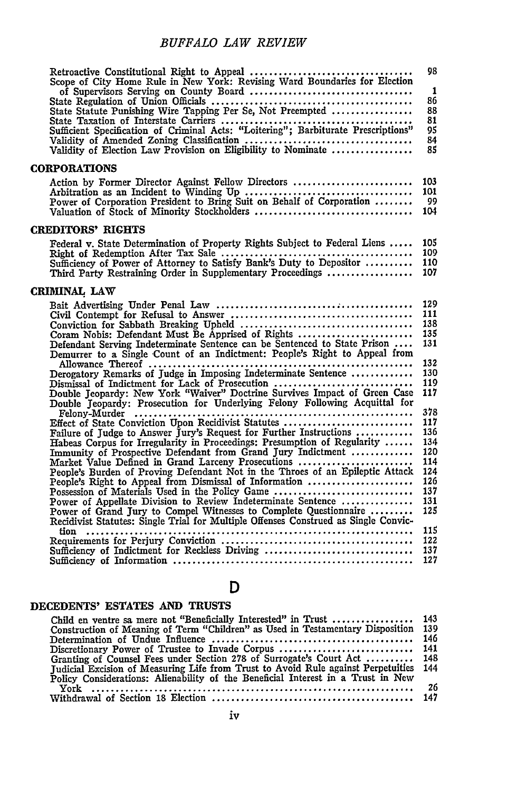| Scope of City Home Rule in New York: Revising Ward Boundaries for Election<br>State Taxation of Interstate Carriers<br>State Taxation of Interstate Carriers<br>Sufficient Specification of Criminal Acts: "Loitering"; Barbiturate Prescriptions"<br>Validity of Amended Zoning Classification<br>Validity of Elect                                                                                                                                                                                                                                                                                                                                                                                                                                                                                            | 98<br>1<br>86<br>88<br>81<br>95<br>84<br>85                                                           |
|-----------------------------------------------------------------------------------------------------------------------------------------------------------------------------------------------------------------------------------------------------------------------------------------------------------------------------------------------------------------------------------------------------------------------------------------------------------------------------------------------------------------------------------------------------------------------------------------------------------------------------------------------------------------------------------------------------------------------------------------------------------------------------------------------------------------|-------------------------------------------------------------------------------------------------------|
| <b>CORPORATIONS</b>                                                                                                                                                                                                                                                                                                                                                                                                                                                                                                                                                                                                                                                                                                                                                                                             |                                                                                                       |
| Action by Former Director Against Fellow Directors                                                                                                                                                                                                                                                                                                                                                                                                                                                                                                                                                                                                                                                                                                                                                              | 103<br>101<br>99<br>104                                                                               |
| <b>CREDITORS' RIGHTS</b>                                                                                                                                                                                                                                                                                                                                                                                                                                                                                                                                                                                                                                                                                                                                                                                        |                                                                                                       |
| Federal v. State Determination of Property Rights Subject to Federal Liens<br>Third Party Restraining Order in Supplementary Proceedings                                                                                                                                                                                                                                                                                                                                                                                                                                                                                                                                                                                                                                                                        | 105<br>109<br>110<br>107                                                                              |
| CRIMINAL LAW                                                                                                                                                                                                                                                                                                                                                                                                                                                                                                                                                                                                                                                                                                                                                                                                    |                                                                                                       |
| Coram Nobis: Defendant Must Be Apprised of Rights<br>Defendant Serving Indeterminate Sentence can be Sentenced to State Prison<br>Demurrer to a Single Count of an Indictment: People's Right to Appeal from<br>Dismissal of Indictment for Lack of Prosecution<br>Double Jeopardy: New York "Waiver" Doctrine Survives Impact of Green Case<br>Double Jeopardy: Prosecution for Underlying Felony Following Acquittal for                                                                                                                                                                                                                                                                                                                                                                                      | 129<br>111<br>138<br>135<br>131<br>132<br>130<br>119<br>117                                           |
| Effect of State Conviction Upon Recidivist Statutes<br>Failure of Judge to Answer Jury's Request for Further Instructions<br>Habeas Corpus for Irregularity in Proceedings: Presumption of Regularity<br>Immunity of Prospective Defendant from Grand Jury Indictment<br>Market Value Defined in Grand Larceny Prosecutions<br>People's Burden of Proving Defendant Not in the Throes of an Epileptic Attack<br>People's Right to Appeal from Dismissal of Information<br>Possession of Materials Used in the Policy Game<br>Power of Appellate Division to Review Indeterminate Sentence<br>Power of Grand Jury to Compel Witnesses to Complete Questionnaire<br>Recidivist Statutes: Single Trial for Multiple Offenses Construed as Single Convic-<br>tion<br>Sufficiency of Indictment for Reckless Driving | 378<br>117<br>136<br>134<br>120<br>114<br>124<br>126<br>137<br>131<br>125<br>115<br>122<br>137<br>127 |

### **D**

### **DECEDENTS' ESTATES AND TRUSTS**

| Child en ventre sa mere not "Beneficially Interested" in Trust  143                   |      |
|---------------------------------------------------------------------------------------|------|
| Construction of Meaning of Term "Children" as Used in Testamentary Disposition        | 139  |
|                                                                                       |      |
| Discretionary Power of Trustee to Invade Corpus  141                                  |      |
| Granting of Counsel Fees under Section 278 of Surrogate's Court Act  148              |      |
| Judicial Excision of Measuring Life from Trust to Avoid Rule against Perpetuities 144 |      |
| Policy Considerations: Alienability of the Beneficial Interest in a Trust in New      |      |
|                                                                                       | - 26 |
|                                                                                       |      |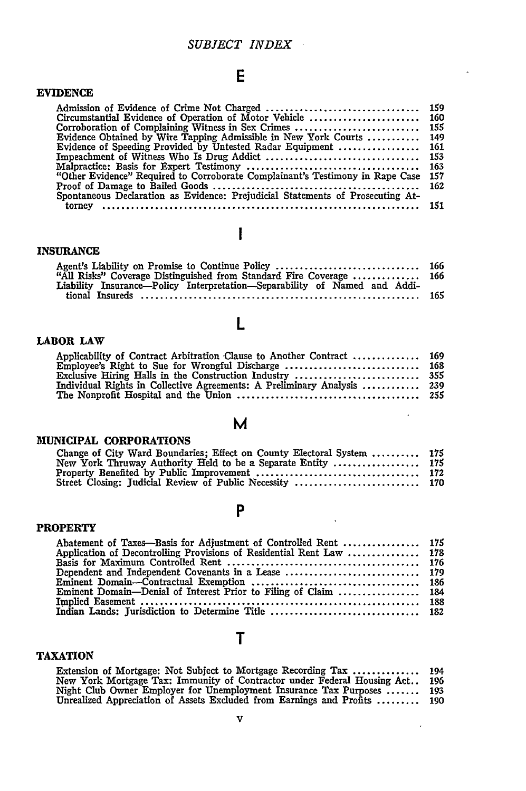### *SUBJECT INDEX*

## **E**

 $\bar{\star}$ 

 $\sim$   $\sim$ 

 $\sim$   $\epsilon$ 

 $\hat{\mathbf{v}}$ 

| <b>EVIDENCE</b>                                                                |     |
|--------------------------------------------------------------------------------|-----|
|                                                                                |     |
|                                                                                |     |
|                                                                                |     |
| Evidence Obtained by Wire Tapping Admissible in New York Courts  149           |     |
| Evidence of Speeding Provided by Untested Radar Equipment  161                 |     |
|                                                                                |     |
|                                                                                |     |
| "Other Evidence" Required to Corroborate Complainant's Testimony in Rape Case  | 157 |
|                                                                                |     |
| Spontaneous Declaration as Evidence: Prejudicial Statements of Prosecuting At- |     |
| torney                                                                         |     |

# $\mathbf{I}$

### **INSURANCE**

| "All Risks" Coverage Distinguished from Standard Fire Coverage  166       |  |
|---------------------------------------------------------------------------|--|
| Liability Insurance—Policy Interpretation—Separability of Named and Addi- |  |
|                                                                           |  |
|                                                                           |  |

## **L**

### LABOR LAW

| Applicability of Contract Arbitration Clause to Another Contract  169   |  |
|-------------------------------------------------------------------------|--|
|                                                                         |  |
|                                                                         |  |
|                                                                         |  |
| Individual Rights in Collective Agreements: A Preliminary Analysis  239 |  |
|                                                                         |  |

**M**

### **MUNICIPAL** CORPORATIONS

| www.com.com                                                            |  |
|------------------------------------------------------------------------|--|
| Change of City Ward Boundaries; Effect on County Electoral System  175 |  |
| New York Thruway Authority Held to be a Separate Entity  175           |  |
|                                                                        |  |
|                                                                        |  |

### **P**

### **PROPERTY**

| Abatement of Taxes—Basis for Adjustment of Controlled Rent  175      |  |
|----------------------------------------------------------------------|--|
| Application of Decontrolling Provisions of Residential Rent Law  178 |  |
|                                                                      |  |
|                                                                      |  |
|                                                                      |  |
| Eminent Domain—Denial of Interest Prior to Filing of Claim  184      |  |
|                                                                      |  |
|                                                                      |  |
|                                                                      |  |

## T

### **TAXATION**

| Extension of Mortgage: Not Subject to Mortgage Recording Tax              | 194 |
|---------------------------------------------------------------------------|-----|
| New York Mortgage Tax: Immunity of Contractor under Federal Housing Act   | 196 |
| Night Club Owner Employer for Unemployment Insurance Tax Purposes  193    |     |
| Unrealized Appreciation of Assets Excluded from Earnings and Profits  190 |     |
|                                                                           |     |